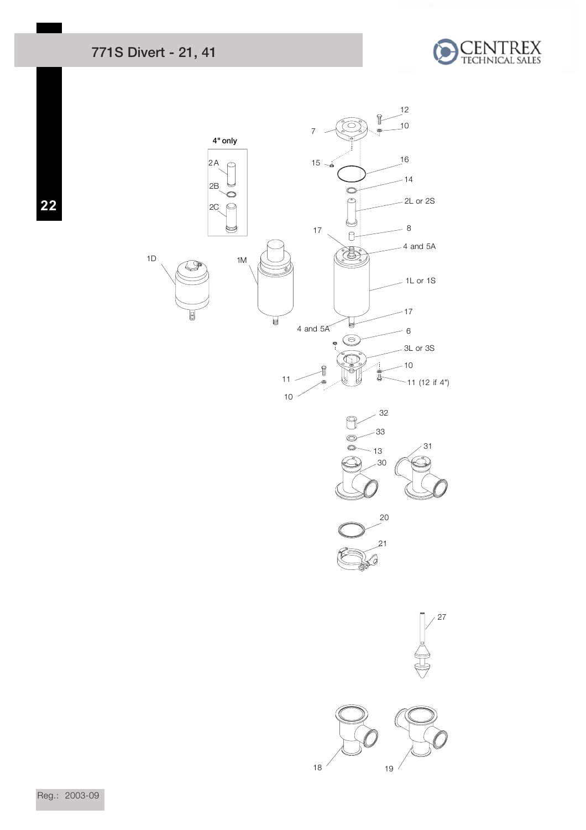